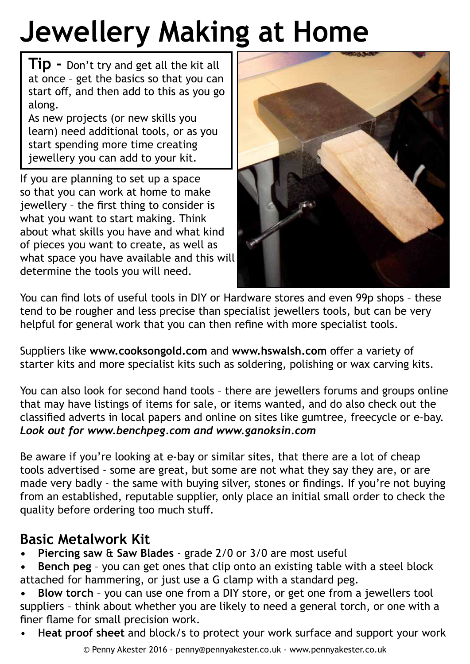## **Jewellery Making at Home**

**Tip -** Don't try and get all the kit all at once – get the basics so that you can start off, and then add to this as you go along.

As new projects (or new skills you learn) need additional tools, or as you start spending more time creating jewellery you can add to your kit.

If you are planning to set up a space so that you can work at home to make jewellery – the first thing to consider is what you want to start making. Think about what skills you have and what kind of pieces you want to create, as well as what space you have available and this will determine the tools you will need.



You can find lots of useful tools in DIY or Hardware stores and even 99p shops – these tend to be rougher and less precise than specialist jewellers tools, but can be very helpful for general work that you can then refine with more specialist tools.

Suppliers like **www.cooksongold.com** and **www.hswalsh.com** offer a variety of starter kits and more specialist kits such as soldering, polishing or wax carving kits.

You can also look for second hand tools – there are jewellers forums and groups online that may have listings of items for sale, or items wanted, and do also check out the classified adverts in local papers and online on sites like gumtree, freecycle or e-bay. *Look out for www.benchpeg.com and www.ganoksin.com* 

Be aware if you're looking at e-bay or similar sites, that there are a lot of cheap tools advertised - some are great, but some are not what they say they are, or are made very badly - the same with buying silver, stones or findings. If you're not buying from an established, reputable supplier, only place an initial small order to check the quality before ordering too much stuff.

## **Basic Metalwork Kit**

- **• Piercing saw** & **Saw Blades**  grade 2/0 or 3/0 are most useful
- **• Bench peg** you can get ones that clip onto an existing table with a steel block attached for hammering, or just use a G clamp with a standard peg.
- **• Blow torch** you can use one from a DIY store, or get one from a jewellers tool suppliers – think about whether you are likely to need a general torch, or one with a finer flame for small precision work.
- H**eat proof sheet** and block/s to protect your work surface and support your work